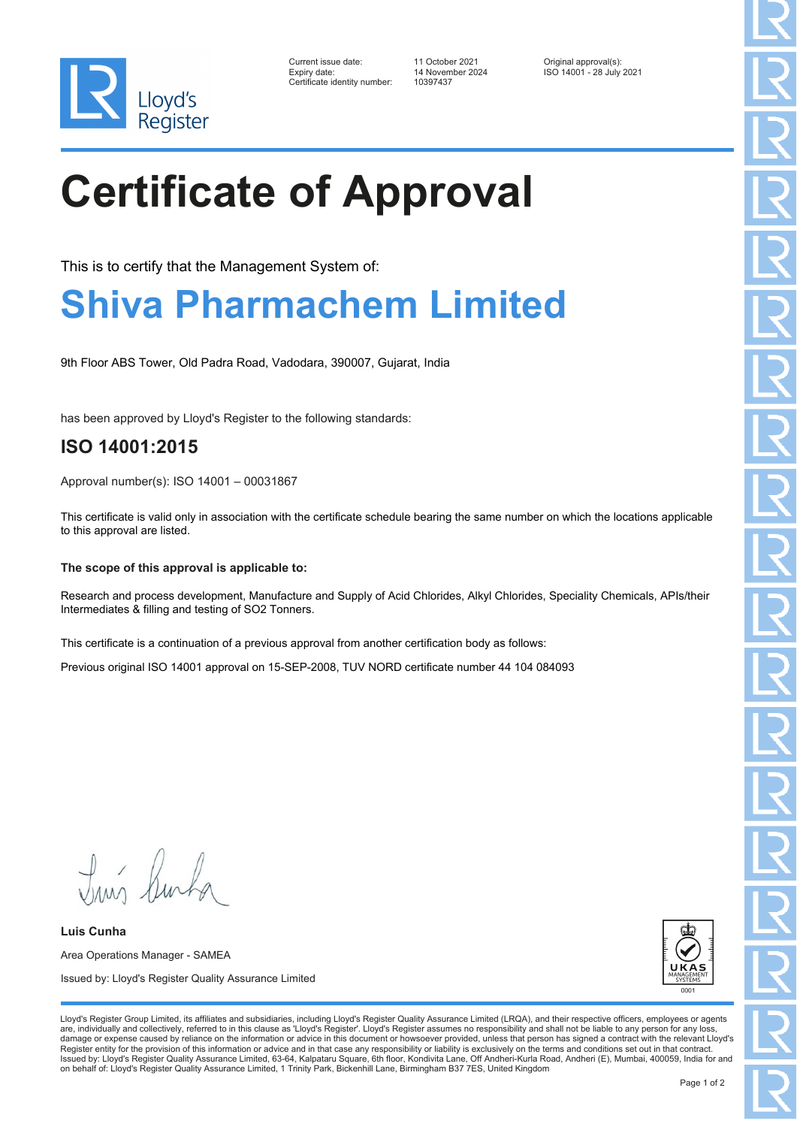

| Current issue date:          | 11 October 2021  | Original approval(s):    |
|------------------------------|------------------|--------------------------|
| Expiry date:                 | 14 November 2024 | ISO 14001 - 28 July 2021 |
| Certificate identity number: | 10397437         |                          |

# **Certificate of Approval**

This is to certify that the Management System of:

### **Shiva Pharmachem Limited**

9th Floor ABS Tower, Old Padra Road, Vadodara, 390007, Gujarat, India

has been approved by Lloyd's Register to the following standards:

### **ISO 14001:2015**

Approval number(s): ISO 14001 – 00031867

This certificate is valid only in association with the certificate schedule bearing the same number on which the locations applicable to this approval are listed.

#### **The scope of this approval is applicable to:**

Research and process development, Manufacture and Supply of Acid Chlorides, Alkyl Chlorides, Speciality Chemicals, APIs/their Intermediates & filling and testing of SO2 Tonners.

This certificate is a continuation of a previous approval from another certification body as follows:

Previous original ISO 14001 approval on 15-SEP-2008, TUV NORD certificate number 44 104 084093

Truis Burka

**Luis Cunha** Area Operations Manager - SAMEA Issued by: Lloyd's Register Quality Assurance Limited



Lloyd's Register Group Limited, its affiliates and subsidiaries, including Lloyd's Register Quality Assurance Limited (LRQA), and their respective officers, employees or agents are, individually and collectively, referred to in this clause as 'Lloyd's Register'. Lloyd's Register assumes no responsibility and shall not be liable to any person for any los damage or expense caused by reliance on the information or advice in this document or howsoever provided, unless that person has signed a contract with the relevant Lloyd's<br>Register entity for the provision of this informa Issued by: Lloyd's Register Quality Assurance Limited, 63-64, Kalpataru Square, 6th floor, Kondivita Lane, Off Andheri-Kurla Road, Andheri (E), Mumbai, 400059, India for and on behalf of: Lloyd's Register Quality Assurance Limited, 1 Trinity Park, Bickenhill Lane, Birmingham B37 7ES, United Kingdom